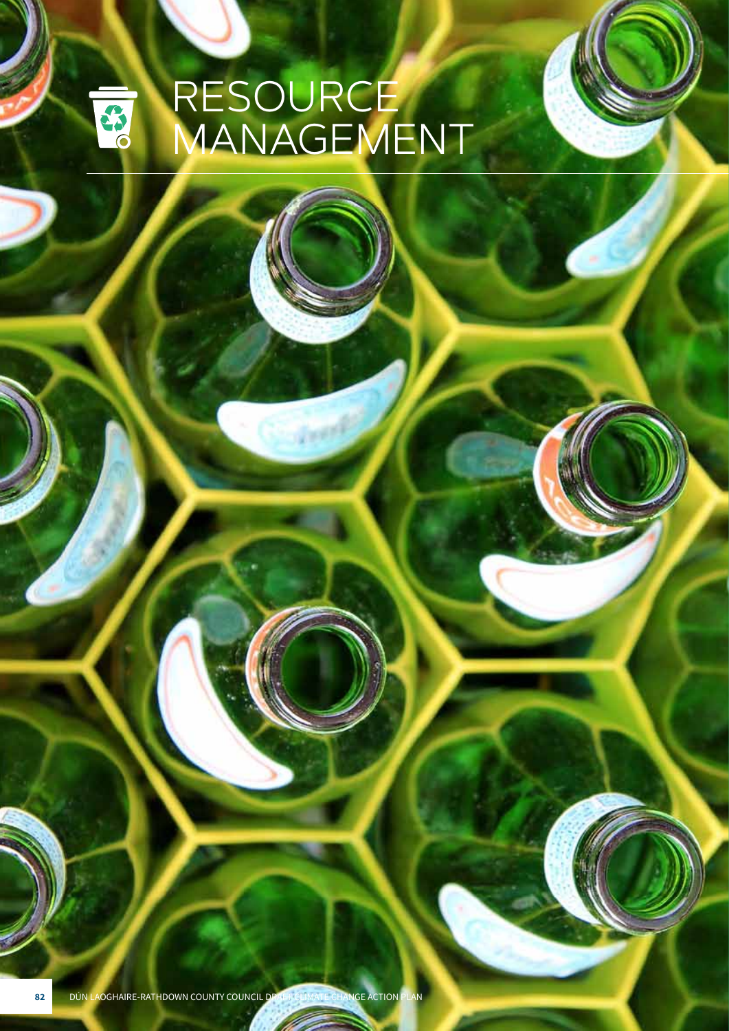## RESOURCE S<sub>o</sub> MANAGEMENT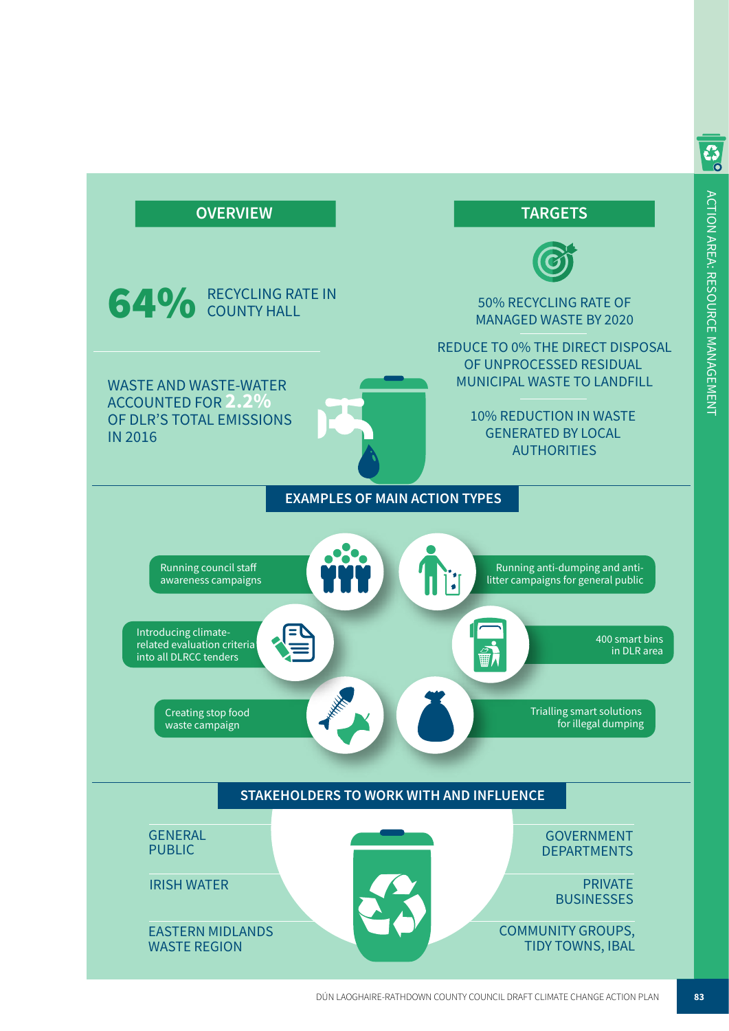

S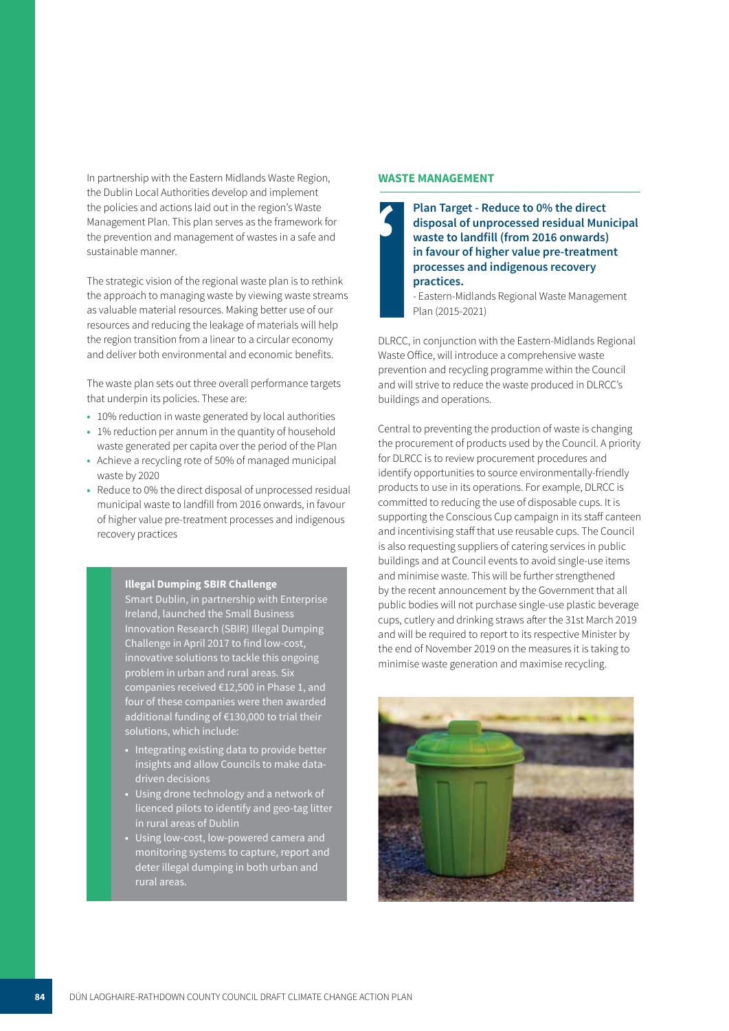In partnership with the Eastern Midlands Waste Region, the Dublin Local Authorities develop and implement the policies and actions laid out in the region's Waste Management Plan. This plan serves as the framework for the prevention and management of wastes in a safe and sustainable manner.

The strategic vision of the regional waste plan is to rethink the approach to managing waste by viewing waste streams as valuable material resources. Making better use of our resources and reducing the leakage of materials will help the region transition from a linear to a circular economy and deliver both environmental and economic benefits.

The waste plan sets out three overall performance targets that underpin its policies. These are:

- **•** 10% reduction in waste generated by local authorities
- **•** 1% reduction per annum in the quantity of household waste generated per capita over the period of the Plan
- **•** Achieve a recycling rote of 50% of managed municipal waste by 2020
- **•** Reduce to 0% the direct disposal of unprocessed residual municipal waste to landfill from 2016 onwards, in favour of higher value pre-treatment processes and indigenous recovery practices

#### **Illegal Dumping SBIR Challenge**

Smart Dublin, in partnership with Enterprise Ireland, launched the Small Business Innovation Research (SBIR) Illegal Dumping Challenge in April 2017 to find low-cost, innovative solutions to tackle this ongoing problem in urban and rural areas. Six companies received €12,500 in Phase 1, and four of these companies were then awarded additional funding of €130,000 to trial their solutions, which include:

- **•** Integrating existing data to provide better insights and allow Councils to make datadriven decisions
- **•** Using drone technology and a network of licenced pilots to identify and geo-tag litter in rural areas of Dublin
- **•** Using low-cost, low-powered camera and monitoring systems to capture, report and deter illegal dumping in both urban and rural areas.

### **WASTE MANAGEMENT**



**Plan Target - Reduce to 0% the direct disposal of unprocessed residual Municipal**  i **waste to landfill (from 2016 onwards) in favour of higher value pre-treatment processes and indigenous recovery practices.**

- Eastern-Midlands Regional Waste Management Plan (2015-2021)

DLRCC, in conjunction with the Eastern-Midlands Regional Waste Office, will introduce a comprehensive waste prevention and recycling programme within the Council and will strive to reduce the waste produced in DLRCC's buildings and operations.

Central to preventing the production of waste is changing the procurement of products used by the Council. A priority for DLRCC is to review procurement procedures and identify opportunities to source environmentally-friendly products to use in its operations. For example, DLRCC is committed to reducing the use of disposable cups. It is supporting the Conscious Cup campaign in its staff canteen and incentivising staff that use reusable cups. The Council is also requesting suppliers of catering services in public buildings and at Council events to avoid single-use items and minimise waste. This will be further strengthened by the recent announcement by the Government that all public bodies will not purchase single-use plastic beverage cups, cutlery and drinking straws after the 31st March 2019 and will be required to report to its respective Minister by the end of November 2019 on the measures it is taking to minimise waste generation and maximise recycling.

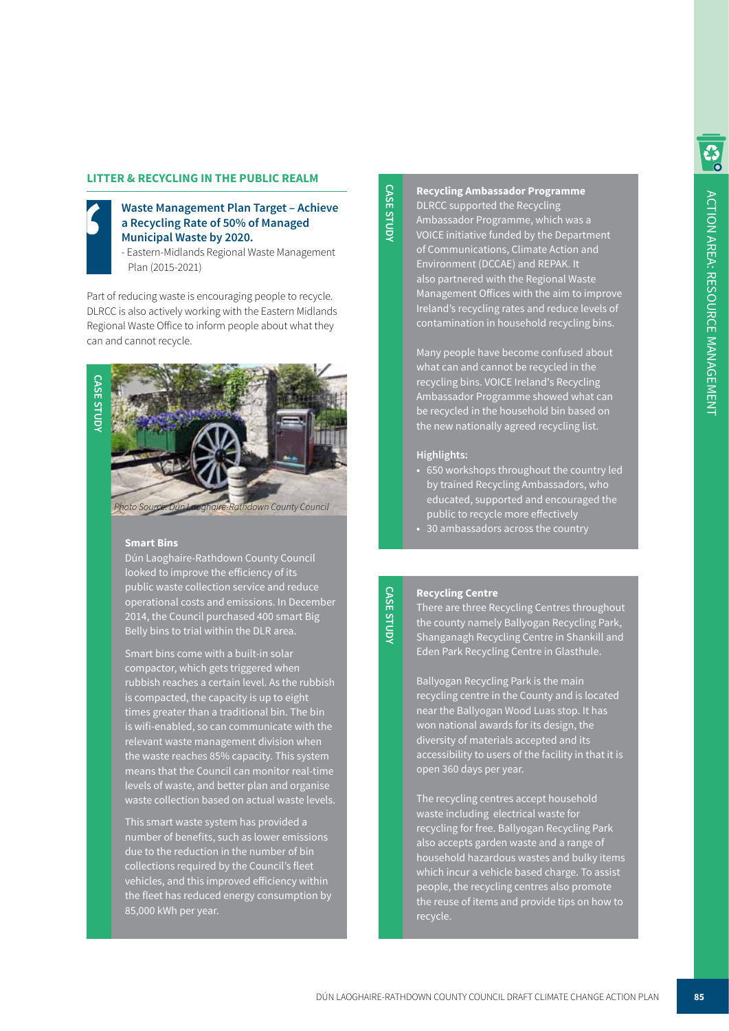### **LITTER & RECYCLING IN THE PUBLIC REALM**



### **Waste Management Plan Target – Achieve a Recycling Rate of 50% of Managed**  i **Municipal Waste by 2020.**

- Eastern-Midlands Regional Waste Management Plan (2015-2021)

Part of reducing waste is encouraging people to recycle. DLRCC is also actively working with the Eastern Midlands Regional Waste Office to inform people about what they can and cannot recycle.



### **Smart Bins**

Dún Laoghaire-Rathdown County Council looked to improve the efficiency of its public waste collection service and reduce operational costs and emissions. In December 2014, the Council purchased 400 smart Big Belly bins to trial within the DLR area.

Smart bins come with a built-in solar compactor, which gets triggered when rubbish reaches a certain level. As the rubbish is compacted, the capacity is up to eight times greater than a traditional bin. The bin is wifi-enabled, so can communicate with the relevant waste management division when the waste reaches 85% capacity. This system means that the Council can monitor real-time levels of waste, and better plan and organise waste collection based on actual waste levels.

This smart waste system has provided a number of benefits, such as lower emissions due to the reduction in the number of bin collections required by the Council's fleet vehicles, and this improved efficiency within the fleet has reduced energy consumption by 85,000 kWh per year.

# **CASE STUDY CASE STUDY**

**Recycling Ambassador Programme** DLRCC supported the Recycling Ambassador Programme, which was a VOICE initiative funded by the Department of Communications, Climate Action and Environment (DCCAE) and REPAK. It also partnered with the Regional Waste Management Offices with the aim to improve Ireland's recycling rates and reduce levels of contamination in household recycling bins.

Many people have become confused about what can and cannot be recycled in the recycling bins. VOICE Ireland's Recycling Ambassador Programme showed what can be recycled in the household bin based on the new nationally agreed recycling list.

### **Highlights:**

- **•** 650 workshops throughout the country led by trained Recycling Ambassadors, who educated, supported and encouraged the public to recycle more effectively
- **•** 30 ambassadors across the country

### **Recycling Centre**

**CASE STUDY**

**CASE STUDY** 

There are three Recycling Centres throughout the county namely Ballyogan Recycling Park, Shanganagh Recycling Centre in Shankill and Eden Park Recycling Centre in Glasthule.

Ballyogan Recycling Park is the main recycling centre in the County and is located near the Ballyogan Wood Luas stop. It has won national awards for its design, the diversity of materials accepted and its accessibility to users of the facility in that it is open 360 days per year.

The recycling centres accept household waste including electrical waste for recycling for free. Ballyogan Recycling Park also accepts garden waste and a range of household hazardous wastes and bulky items which incur a vehicle based charge. To assist people, the recycling centres also promote the reuse of items and provide tips on how to recycle.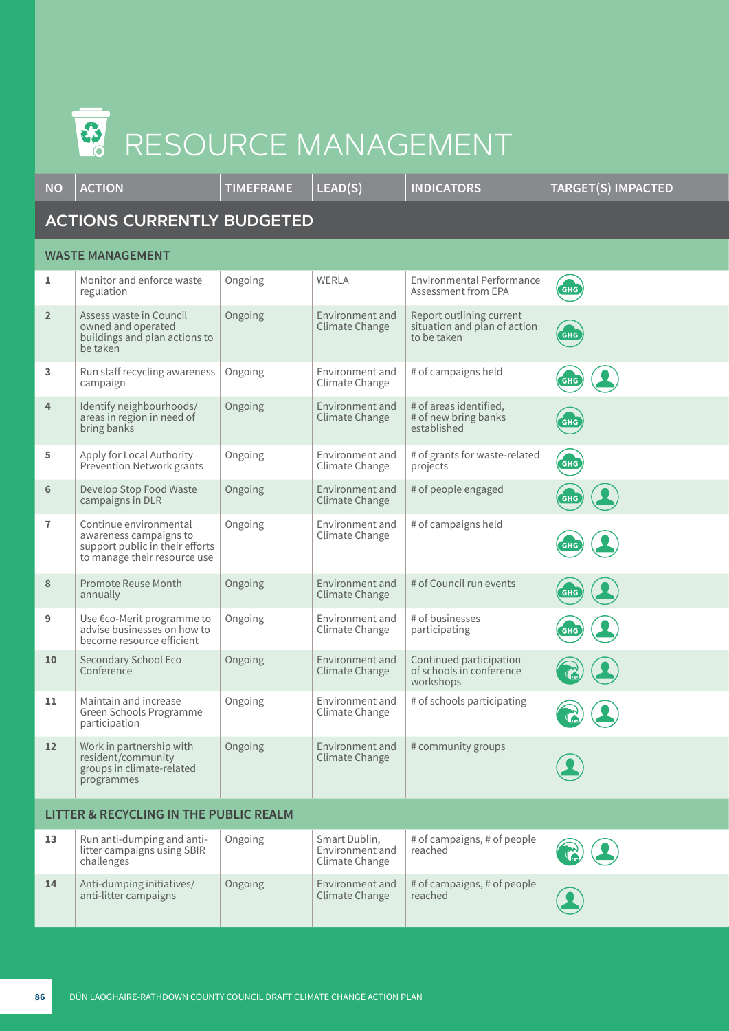### S. RESOURCE MANAGEMENT

| <b>NO</b>                                         | <b>ACTION</b>                                                                                                       | <b>TIMEFRAME</b> | LEAD(S)                                            | <b>INDICATORS</b>                                                       | <b>TARGET(S) IMPACTED</b> |  |  |  |  |
|---------------------------------------------------|---------------------------------------------------------------------------------------------------------------------|------------------|----------------------------------------------------|-------------------------------------------------------------------------|---------------------------|--|--|--|--|
| <b>ACTIONS CURRENTLY BUDGETED</b>                 |                                                                                                                     |                  |                                                    |                                                                         |                           |  |  |  |  |
| <b>WASTE MANAGEMENT</b>                           |                                                                                                                     |                  |                                                    |                                                                         |                           |  |  |  |  |
| 1                                                 | Monitor and enforce waste<br>regulation                                                                             | Ongoing          | <b>WERLA</b>                                       | Environmental Performance<br>Assessment from EPA                        | <b>GHG</b>                |  |  |  |  |
| $\overline{2}$                                    | Assess waste in Council<br>owned and operated<br>buildings and plan actions to<br>be taken                          | Ongoing          | Environment and<br>Climate Change                  | Report outlining current<br>situation and plan of action<br>to be taken | <b>GHG</b>                |  |  |  |  |
| 3                                                 | Run staff recycling awareness<br>campaign                                                                           | Ongoing          | Environment and<br>Climate Change                  | # of campaigns held                                                     | <b>GHG</b>                |  |  |  |  |
| 4                                                 | Identify neighbourhoods/<br>areas in region in need of<br>bring banks                                               | Ongoing          | Environment and<br>Climate Change                  | # of areas identified,<br># of new bring banks<br>established           | GHG                       |  |  |  |  |
| 5                                                 | Apply for Local Authority<br>Prevention Network grants                                                              | Ongoing          | Environment and<br>Climate Change                  | # of grants for waste-related<br>projects                               | <b>GHG</b>                |  |  |  |  |
| 6                                                 | Develop Stop Food Waste<br>campaigns in DLR                                                                         | Ongoing          | Environment and<br>Climate Change                  | # of people engaged                                                     | <b>GHG</b>                |  |  |  |  |
| $\overline{1}$                                    | Continue environmental<br>awareness campaigns to<br>support public in their efforts<br>to manage their resource use | Ongoing          | Environment and<br>Climate Change                  | # of campaigns held                                                     | <b>GHG</b>                |  |  |  |  |
| 8                                                 | Promote Reuse Month<br>annually                                                                                     | Ongoing          | Environment and<br>Climate Change                  | # of Council run events                                                 | <b>GHG</b>                |  |  |  |  |
| 9                                                 | Use €co-Merit programme to<br>advise businesses on how to<br>become resource efficient                              | Ongoing          | Environment and<br>Climate Change                  | # of businesses<br>participating                                        | <b>GHG</b>                |  |  |  |  |
| 10                                                | Secondary School Eco<br>Conference                                                                                  | Ongoing          | Environment and<br>Climate Change                  | Continued participation<br>of schools in conference<br>workshops        |                           |  |  |  |  |
| 11                                                | Maintain and increase<br>Green Schools Programme<br>participation                                                   | Ongoing          | Environment and<br>Climate Change                  | # of schools participating                                              | $\binom{2}{1}$            |  |  |  |  |
| 12                                                | Work in partnership with<br>resident/community<br>groups in climate-related<br>programmes                           | Ongoing          | Environment and<br>Climate Change                  | # community groups                                                      |                           |  |  |  |  |
| <b>LITTER &amp; RECYCLING IN THE PUBLIC REALM</b> |                                                                                                                     |                  |                                                    |                                                                         |                           |  |  |  |  |
| 13                                                | Run anti-dumping and anti-<br>litter campaigns using SBIR<br>challenges                                             | Ongoing          | Smart Dublin,<br>Environment and<br>Climate Change | # of campaigns, # of people<br>reached                                  |                           |  |  |  |  |
| 14                                                | Anti-dumping initiatives/<br>anti-litter campaigns                                                                  | Ongoing          | Environment and<br>Climate Change                  | # of campaigns, # of people<br>reached                                  |                           |  |  |  |  |